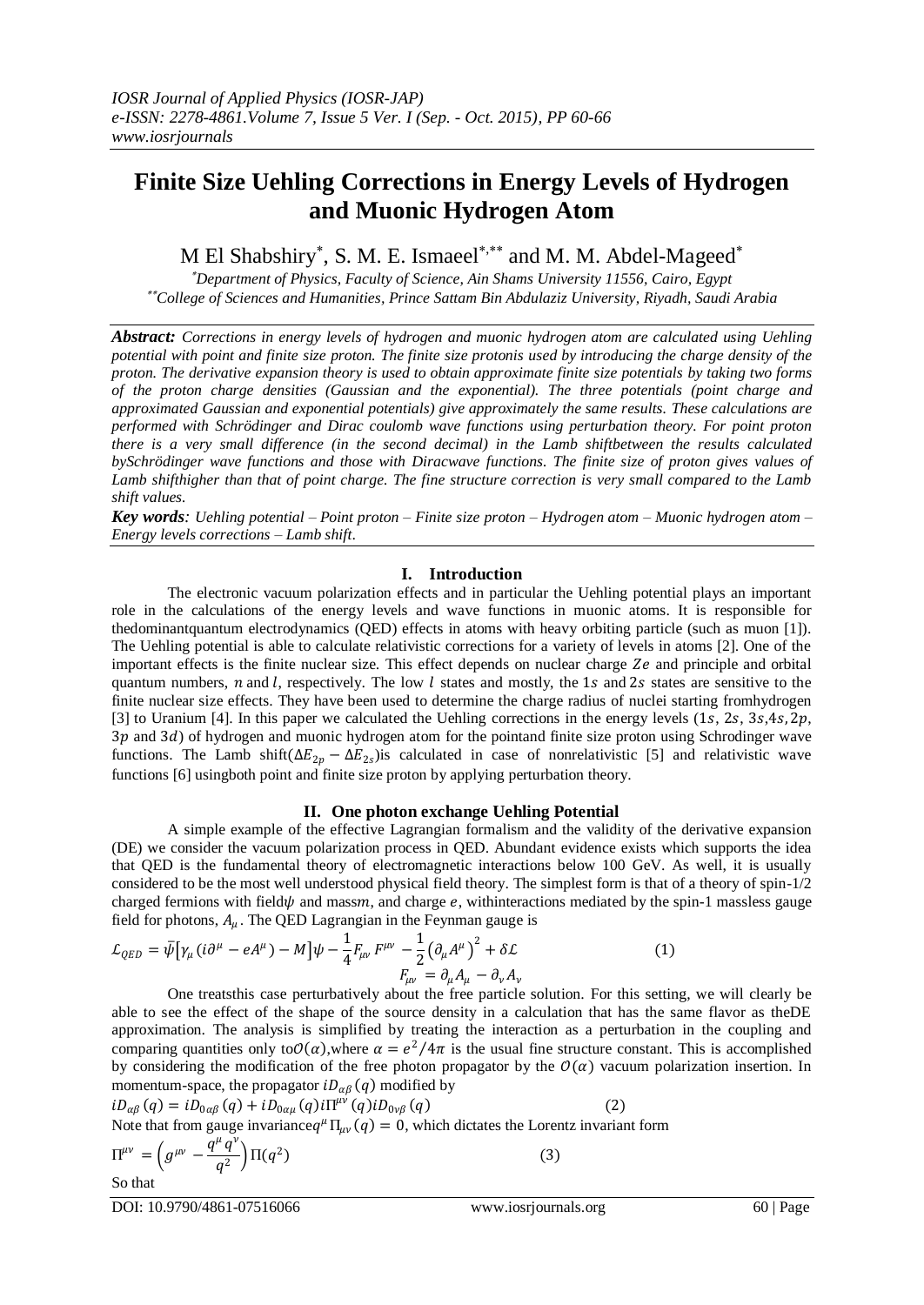# **Finite Size Uehling Corrections in Energy Levels of Hydrogen and Muonic Hydrogen Atom**

M El Shabshiry<sup>\*</sup>, S. M. E. Ismaeel<sup>\*,\*\*</sup> and M. M. Abdel-Mageed<sup>\*</sup>

 *Department of Physics, Faculty of Science, Ain Shams University 11556, Cairo, Egypt College of Sciences and Humanities, Prince Sattam Bin Abdulaziz University, Riyadh, Saudi Arabia*

*Abstract: Corrections in energy levels of hydrogen and muonic hydrogen atom are calculated using Uehling potential with point and finite size proton. The finite size protonis used by introducing the charge density of the proton. The derivative expansion theory is used to obtain approximate finite size potentials by taking two forms of the proton charge densities (Gaussian and the exponential). The three potentials (point charge and approximated Gaussian and exponential potentials) give approximately the same results. These calculations are performed with Schrödinger and Dirac coulomb wave functions using perturbation theory. For point proton there is a very small difference (in the second decimal) in the Lamb shiftbetween the results calculated bySchrödinger wave functions and those with Diracwave functions. The finite size of proton gives values of*  Lamb shifthigher than that of point charge. The fine structure correction is very small compared to the Lamb *shift values.*

*Key words: Uehling potential – Point proton – Finite size proton – Hydrogen atom – Muonic hydrogen atom – Energy levels corrections – Lamb shift*.

# **I. Introduction**

The electronic vacuum polarization effects and in particular the Uehling potential plays an important role in the calculations of the energy levels and wave functions in muonic atoms. It is responsible for thedominantquantum electrodynamics (QED) effects in atoms with heavy orbiting particle (such as muon [1]). The Uehling potential is able to calculate relativistic corrections for a variety of levels in atoms [2]. One of the important effects is the finite nuclear size. This effect depends on nuclear charge  $Ze$  and principle and orbital quantum numbers,  $n$  and  $l$ , respectively. The low  $l$  states and mostly, the 1s and 2s states are sensitive to the finite nuclear size effects. They have been used to determine the charge radius of nuclei starting fromhydrogen [3] to Uranium [4]. In this paper we calculated the Uehling corrections in the energy levels  $(1s, 2s, 3s, 4s, 2p,$ 3p and 3d) of hydrogen and muonic hydrogen atom for the pointand finite size proton using Schrodinger wave functions. The Lamb shift( $\Delta E_{2p} - \Delta E_{2s}$ ) is calculated in case of nonrelativistic [5] and relativistic wave functions [6] usingboth point and finite size proton by applying perturbation theory.

## **II. One photon exchange Uehling Potential**

A simple example of the effective Lagrangian formalism and the validity of the derivative expansion (DE) we consider the vacuum polarization process in QED. Abundant evidence exists which supports the idea that QED is the fundamental theory of electromagnetic interactions below 100 GeV. As well, it is usually considered to be the most well understood physical field theory. The simplest form is that of a theory of spin-1/2 charged fermions with field  $\psi$  and massm, and charge  $e$ , withinteractions mediated by the spin-1 massless gauge field for photons,  $A_{\mu}$ . The QED Lagrangian in the Feynman gauge is

$$
\mathcal{L}_{QED} = \bar{\psi} \left[ \gamma_{\mu} (i \partial^{\mu} - e A^{\mu}) - M \right] \psi - \frac{1}{4} F_{\mu\nu} F^{\mu\nu} - \frac{1}{2} \left( \partial_{\mu} A^{\mu} \right)^{2} + \delta \mathcal{L}
$$
\n
$$
F_{\mu\nu} = \partial_{\mu} A_{\mu} - \partial_{\nu} A_{\nu}
$$
\n(1)

One treatsthis case perturbatively about the free particle solution. For this setting, we will clearly be able to see the effect of the shape of the source density in a calculation that has the same flavor as theDE approximation. The analysis is simplified by treating the interaction as a perturbation in the coupling and comparing quantities only to  $O(\alpha)$ , where  $\alpha = e^2/4\pi$  is the usual fine structure constant. This is accomplished by considering the modification of the free photon propagator by the  $O(\alpha)$  vacuum polarization insertion. In momentum-space, the propagator  $iD_{\alpha\beta}(q)$  modified by

$$
iD_{\alpha\beta}(q) = iD_{0\alpha\beta}(q) + iD_{0\alpha\mu}(q)i\Pi^{\mu\nu}(q)iD_{0\nu\beta}(q)
$$
 (2)  
Note that from gauge invariance $q^{\mu}\Pi_{\mu\nu}(q) = 0$ , which dictates the Lorentz invariant form

$$
\Pi^{\mu\nu} = \left( g^{\mu\nu} - \frac{q^{\mu} q^{\nu}}{q^2} \right) \Pi(q^2)
$$
\nSo that

So that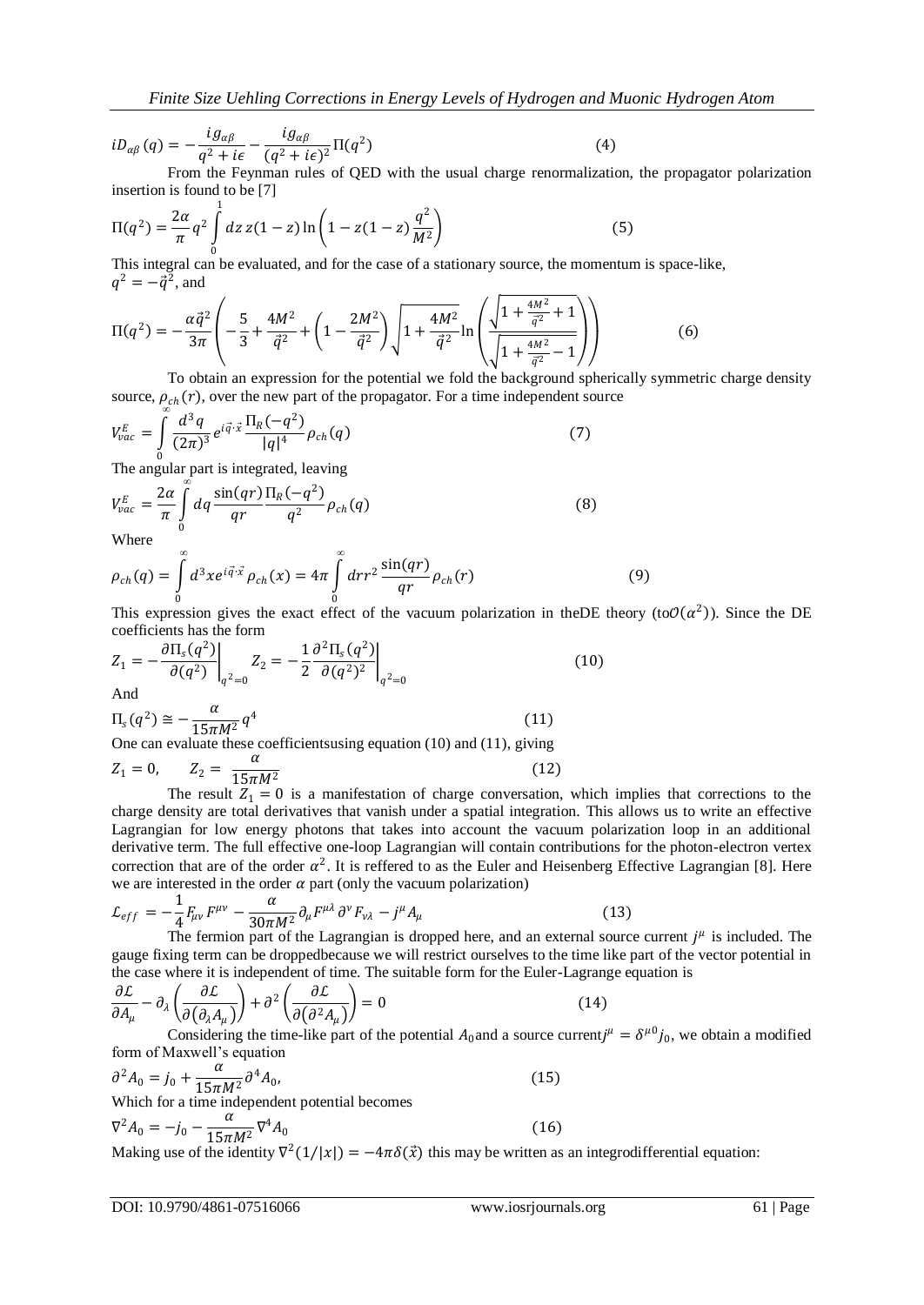$$
iD_{\alpha\beta}(q) = -\frac{i g_{\alpha\beta}}{q^2 + i\epsilon} - \frac{i g_{\alpha\beta}}{(q^2 + i\epsilon)^2} \Pi(q^2)
$$
(4)

From the Feynman rules of QED with the usual charge renormalization, the propagator polarization insertion is found to be [7]

$$
\Pi(q^2) = \frac{2\alpha}{\pi} q^2 \int_0^1 dz \, z(1-z) \ln\left(1 - z(1-z)\frac{q^2}{M^2}\right) \tag{5}
$$

0 This integral can be evaluated, and for the case of a stationary source, the momentum is space-like,  $q^2 = -\vec{q}^2$ , and

$$
\Pi(q^2) = -\frac{\alpha \vec{q}^2}{3\pi} \left( -\frac{5}{3} + \frac{4M^2}{\vec{q}^2} + \left( 1 - \frac{2M^2}{\vec{q}^2} \right) \sqrt{1 + \frac{4M^2}{\vec{q}^2}} \ln \left( \frac{\sqrt{1 + \frac{4M^2}{\vec{q}^2} + 1}}{\sqrt{1 + \frac{4M^2}{\vec{q}^2} - 1}} \right) \right)
$$
(6)

To obtain an expression for the potential we fold the background spherically symmetric charge density source,  $\rho_{ch}(r)$ , over the new part of the propagator. For a time independent source

$$
V_{vac}^{E} = \int_{0}^{\infty} \frac{d^3q}{(2\pi)^3} e^{i\vec{q}\cdot\vec{x}} \frac{\Pi_R(-q^2)}{|q|^4} \rho_{ch}(q)
$$
 (7)

The angular part is integrated, leaving

$$
V_{vac}^{E} = \frac{2\alpha}{\pi} \int_{0}^{\infty} dq \frac{\sin(qr)}{qr} \frac{\Pi_{R}(-q^{2})}{q^{2}} \rho_{ch}(q)
$$
(8)

Where

$$
\rho_{ch}(q) = \int_{0}^{\infty} d^3x e^{i\vec{q}\cdot\vec{x}} \rho_{ch}(x) = 4\pi \int_{0}^{\infty} dr r^2 \frac{\sin(qr)}{qr} \rho_{ch}(r)
$$
(9)

This expression gives the exact effect of the vacuum polarization in the DE theory (to  $O(\alpha^2)$ ). Since the DE coefficients has the form

$$
Z_1 = -\frac{\partial \Pi_s(q^2)}{\partial (q^2)} \bigg|_{q^2=0} Z_2 = -\frac{1}{2} \frac{\partial^2 \Pi_s(q^2)}{\partial (q^2)^2} \bigg|_{q^2=0}
$$
(10)  
And  

$$
\Pi_q(q^2) \approx -\frac{\alpha}{q^4} \qquad (11)
$$

$$
\Pi_s(q^2) \cong -\frac{\alpha}{15\pi M^2} q^4
$$
 (11)  
One can evaluate these coefficients using equation (10) and (11), giving

$$
Z_1 = 0, \qquad Z_2 = \frac{a}{15\pi M^2}
$$
 (12)  
The result  $Z_1 = 0$  is a manifestation of charge conservation

The result  $Z_1 = 0$  is a manifestation of charge conversation, which implies that corrections to the charge density are total derivatives that vanish under a spatial integration. This allows us to write an effective Lagrangian for low energy photons that takes into account the vacuum polarization loop in an additional derivative term. The full effective one-loop Lagrangian will contain contributions for the photon-electron vertex correction that are of the order  $\alpha^2$ . It is reffered to as the Euler and Heisenberg Effective Lagrangian [8]. Here we are interested in the order  $\alpha$  part (only the vacuum polarization)

$$
\mathcal{L}_{eff} = -\frac{1}{4} F_{\mu\nu} F^{\mu\nu} - \frac{\alpha}{30\pi M^2} \partial_{\mu} F^{\mu\lambda} \partial^{\nu} F_{\nu\lambda} - j^{\mu} A_{\mu} \tag{13}
$$

The fermion part of the Lagrangian is dropped here, and an external source current  $j^{\mu}$  is included. The gauge fixing term can be droppedbecause we will restrict ourselves to the time like part of the vector potential in the case where it is independent of time. The suitable form for the Euler-Lagrange equation is

$$
\frac{\partial \mathcal{L}}{\partial A_{\mu}} - \partial_{\lambda} \left( \frac{\partial \mathcal{L}}{\partial (\partial_{\lambda} A_{\mu})} \right) + \partial^{2} \left( \frac{\partial \mathcal{L}}{\partial (\partial^{2} A_{\mu})} \right) = 0
$$
(14)  
Considering the time-like part of the potential *A*<sub>0</sub> and a source current *i* <sup>$\mu$</sup> 

Considering the time-like part of the potential  $A_0$  and a source current  $j^{\mu} = \delta^{\mu 0} j_0$ , we obtain a modified form of Maxwell's equation

$$
\partial^2 A_0 = j_0 + \frac{\alpha}{15\pi M^2} \partial^4 A_0,
$$
\nWhich for a time independent potential becomes

\n
$$
\nabla^2 A_0 = -j_0 - \frac{\alpha}{15\pi M^2} \nabla^4 A_0
$$
\n(16)

Making use of the identity  $\nabla^2(1/|x|) = -4\pi\delta(\vec{x})$  this may be written as an integrodifferential equation: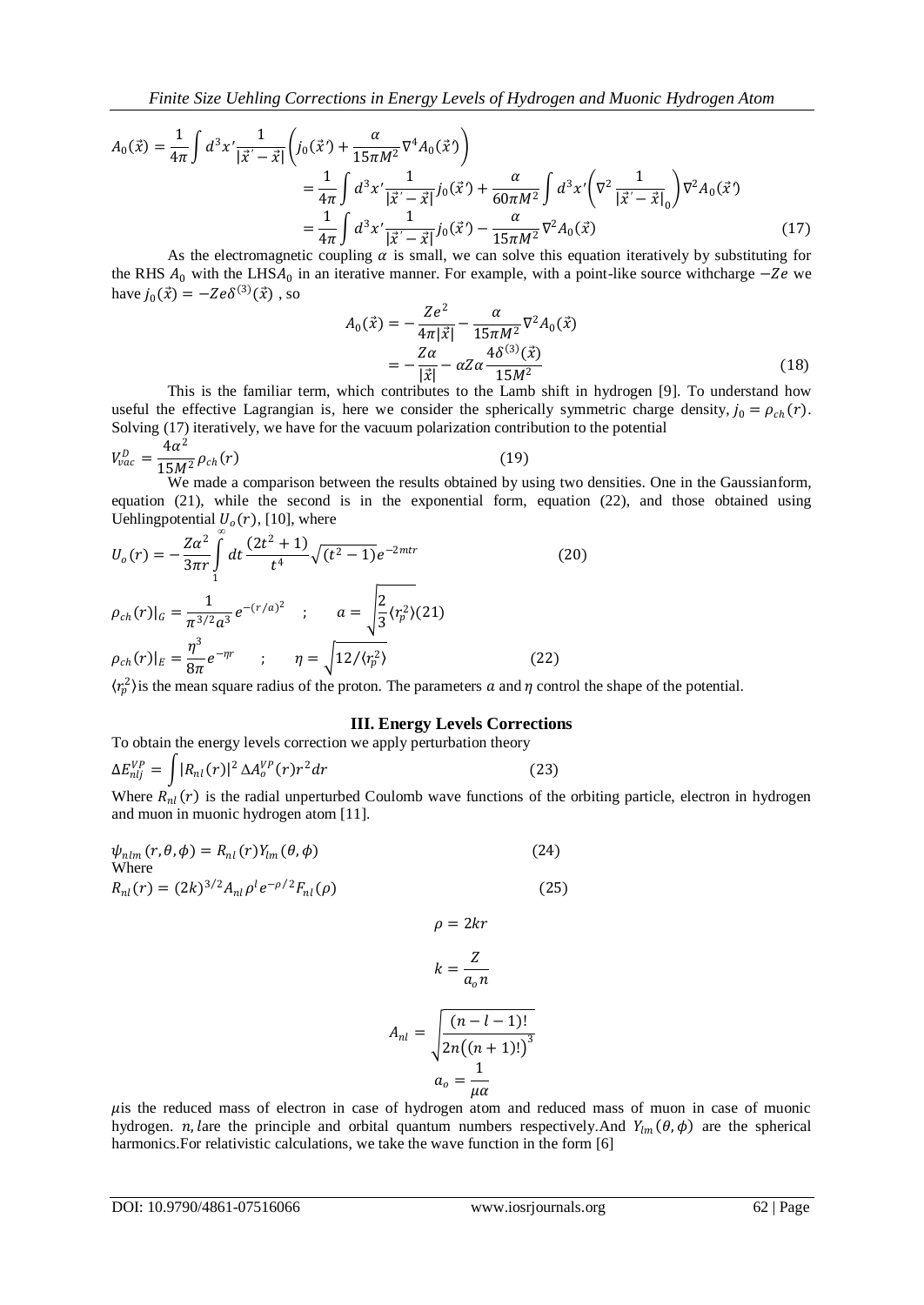*Finite Size Uehling Corrections in Energy Levels of Hydrogen and Muonic Hydrogen Atom*

$$
A_0(\vec{x}) = \frac{1}{4\pi} \int d^3 x' \frac{1}{|\vec{x}' - \vec{x}|} \left( j_0(\vec{x}') + \frac{\alpha}{15\pi M^2} \nabla^4 A_0(\vec{x}') \right)
$$
  
\n
$$
= \frac{1}{4\pi} \int d^3 x' \frac{1}{|\vec{x}' - \vec{x}|} j_0(\vec{x}') + \frac{\alpha}{60\pi M^2} \int d^3 x' \left( \nabla^2 \frac{1}{|\vec{x}' - \vec{x}|_0} \right) \nabla^2 A_0(\vec{x})
$$
  
\n
$$
= \frac{1}{4\pi} \int d^3 x' \frac{1}{|\vec{x}' - \vec{x}|} j_0(\vec{x}') - \frac{\alpha}{15\pi M^2} \nabla^2 A_0(\vec{x})
$$
(17)

As the electromagnetic coupling  $\alpha$  is small, we can solve this equation iteratively by substituting for the RHS  $A_0$  with the LHS $A_0$  in an iterative manner. For example, with a point-like source withcharge  $-Ze$  we have  $j_0(\vec{x}) = -Ze\delta^{(3)}(\vec{x})$ , so

$$
A_0(\vec{x}) = -\frac{Ze^2}{4\pi |\vec{x}|} - \frac{\alpha}{15\pi M^2} \nabla^2 A_0(\vec{x})
$$
  
= 
$$
-\frac{Z\alpha}{|\vec{x}|} - \alpha Z \alpha \frac{4\delta^{(3)}(\vec{x})}{15M^2}
$$
 (18)

This is the familiar term, which contributes to the Lamb shift in hydrogen [9]. To understand how useful the effective Lagrangian is, here we consider the spherically symmetric charge density,  $j_0 = \rho_{ch}(r)$ . Solving (17) iteratively, we have for the vacuum polarization contribution to the potential

$$
V_{vac}^D = \frac{4\alpha^2}{15M^2} \rho_{ch}(r) \tag{19}
$$

We made a comparison between the results obtained by using two densities. One in the Gaussianform, equation (21), while the second is in the exponential form, equation (22), and those obtained using Uehlingpotential  $U_o(r)$ , [10], where *∞*

$$
U_o(r) = -\frac{Z\alpha^2}{3\pi r} \int_1^{\infty} dt \frac{(2t^2 + 1)}{t^4} \sqrt{(t^2 - 1)} e^{-2mtr}
$$
(20)  

$$
\rho_{ch}(r)|_G = \frac{1}{\pi^{3/2} a^3} e^{-(r/a)^2} \quad ; \qquad a = \sqrt{\frac{2}{3}} \langle r_p^2 \rangle
$$
(21)  

$$
\rho_{ch}(r)|_E = \frac{\eta^3}{8\pi} e^{-\eta r} \qquad ; \qquad \eta = \sqrt{12/\langle r_p^2 \rangle}
$$
(22)

 $\langle r_p^2 \rangle$  is the mean square radius of the proton. The parameters a and  $\eta$  control the shape of the potential.

#### **III. Energy Levels Corrections**

To obtain the energy levels correction we apply perturbation theory

$$
\Delta E_{nlj}^{VP} = \int |R_{nl}(r)|^2 \, \Delta A_o^{VP}(r) r^2 dr \tag{23}
$$

Where  $R_{nl}(r)$  is the radial unperturbed Coulomb wave functions of the orbiting particle, electron in hydrogen and muon in muonic hydrogen atom [11].

$$
\psi_{nlm}(r,\theta,\phi) = R_{nl}(r)Y_{lm}(\theta,\phi)
$$
\nWhere

\n
$$
R_{nl}(r) = (2k)^{3/2}A_{nl}\rho^l e^{-\rho/2}F_{nl}(\rho)
$$
\n(25)

$$
\rho = 2kr
$$

$$
k = \frac{Z}{a_0 n}
$$

$$
A_{nl} = \sqrt{\frac{(n-l-1)!}{2n((n+1)!)^3}}
$$

$$
a_o = \frac{1}{\mu \alpha}
$$

 $\mu$  is the reduced mass of electron in case of hydrogen atom and reduced mass of muon in case of muonic hydrogen. *n*, lare the principle and orbital quantum numbers respectively. And  $Y_{lm}(\theta, \phi)$  are the spherical harmonics.For relativistic calculations, we take the wave function in the form [6]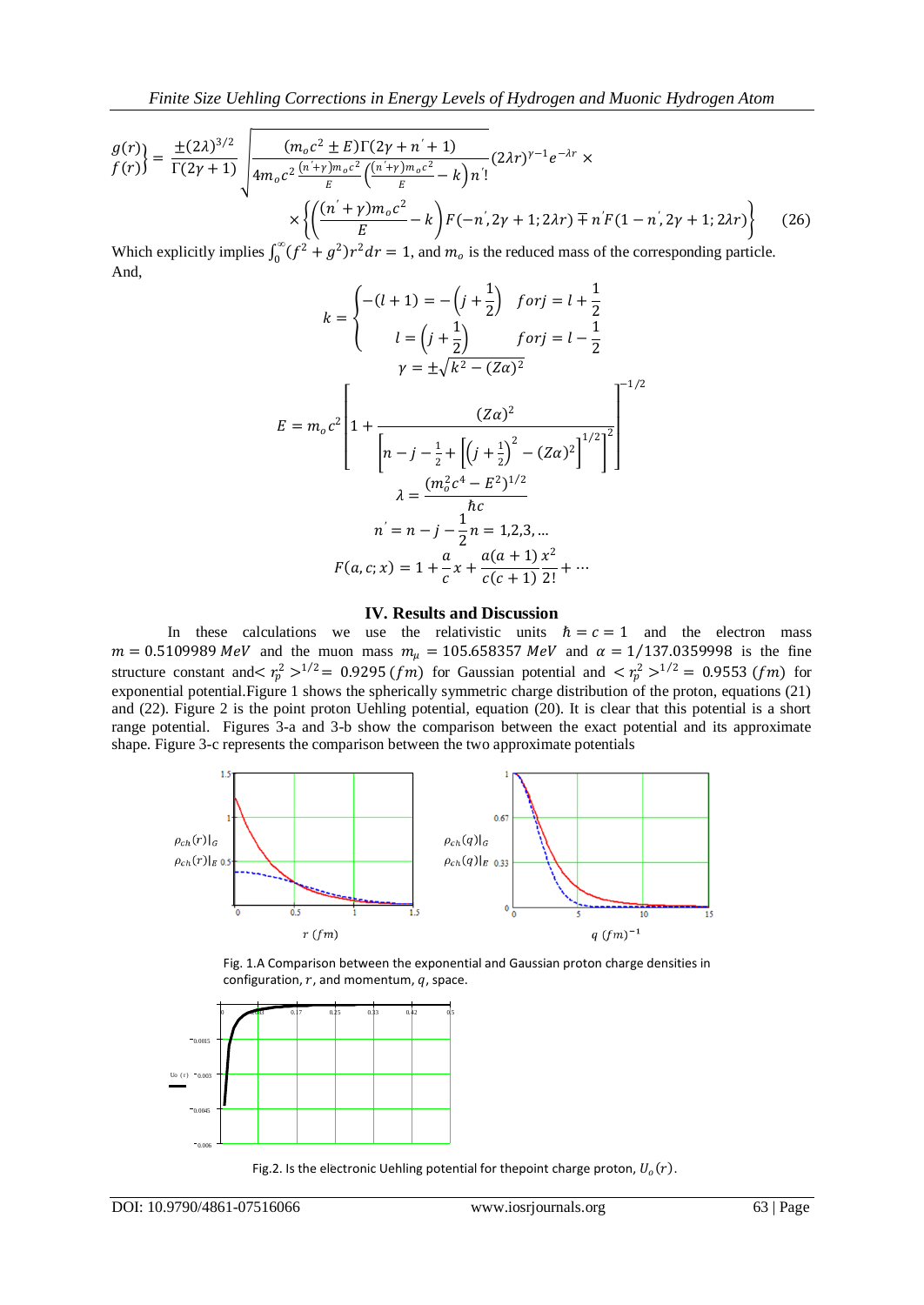$$
\frac{g(r)}{f(r)} = \frac{\pm (2\lambda)^{3/2}}{\Gamma(2\gamma + 1)} \sqrt{\frac{(m_o c^2 \pm E)\Gamma(2\gamma + n' + 1)}{4m_o c^2 \frac{(n' + \gamma)m_o c^2}{E} \left(\frac{(n' + \gamma)m_o c^2}{E} - k\right) n'!}} (2\lambda r)^{\gamma - 1} e^{-\lambda r} \times \left\{ \left(\frac{(n' + \gamma)m_o c^2}{E} - k\right) F(-n', 2\gamma + 1; 2\lambda r) \mp n' F(1 - n', 2\gamma + 1; 2\lambda r) \right\}
$$
(26)

Which explicitly implies  $\int_0^\infty (f^2 + g^2) r^2 dr = 1$  $\int_0^{\infty} (f^2 + g^2) r^2 dr = 1$ , and  $m_0$  is the reduced mass of the corresponding particle. And,

$$
k = \begin{cases} -(l+1) = -\left(j+\frac{1}{2}\right) & \text{for } j = l+\frac{1}{2} \\ l = \left(j+\frac{1}{2}\right) & \text{for } j = l-\frac{1}{2} \\ r = \pm\sqrt{k^2 - (Z\alpha)^2} \end{cases}
$$
  

$$
E = m_o c^2 \left[ 1 + \frac{(Z\alpha)^2}{\left[n-j-\frac{1}{2}+\left[\left(j+\frac{1}{2}\right)^2 - (Z\alpha)^2\right]^{1/2}\right]^2} \right]
$$

$$
\lambda = \frac{(m_o^2 c^4 - E^2)^{1/2}}{\hbar c}
$$

$$
n = n-j-\frac{1}{2}n = 1,2,3,...
$$

$$
F(a,c;x) = 1 + \frac{a}{c}x + \frac{a(a+1)x^2}{c(c+1)2!} + ...
$$

## **IV. Results and Discussion**

In these calculations we use the relativistic units  $\hbar = c = 1$  and the electron mass  $m = 0.5109989 \text{ MeV}$  and the muon mass  $m_{\mu} = 105.658357 \text{ MeV}$  and  $\alpha = 1/137.0359998$  is the fine structure constant and  $\langle r_p^2 \rangle^{1/2} = 0.9295$  (fm) for Gaussian potential and  $\langle r_p^2 \rangle^{1/2} = 0.9553$  (fm) for exponential potential.Figure 1 shows the spherically symmetric charge distribution of the proton, equations (21) and (22). Figure 2 is the point proton Uehling potential, equation (20). It is clear that this potential is a short range potential. Figures 3-a and 3-b show the comparison between the exact potential and its approximate shape. Figure 3-c represents the comparison between the two approximate potentials



Fig. 1.A Comparison between the exponential and Gaussian proton charge densities in configuration,  $r$ , and momentum,  $q$ , space.



Fig.2. Is the electronic Uehling potential for thepoint charge proton,  $U_o(r)$ .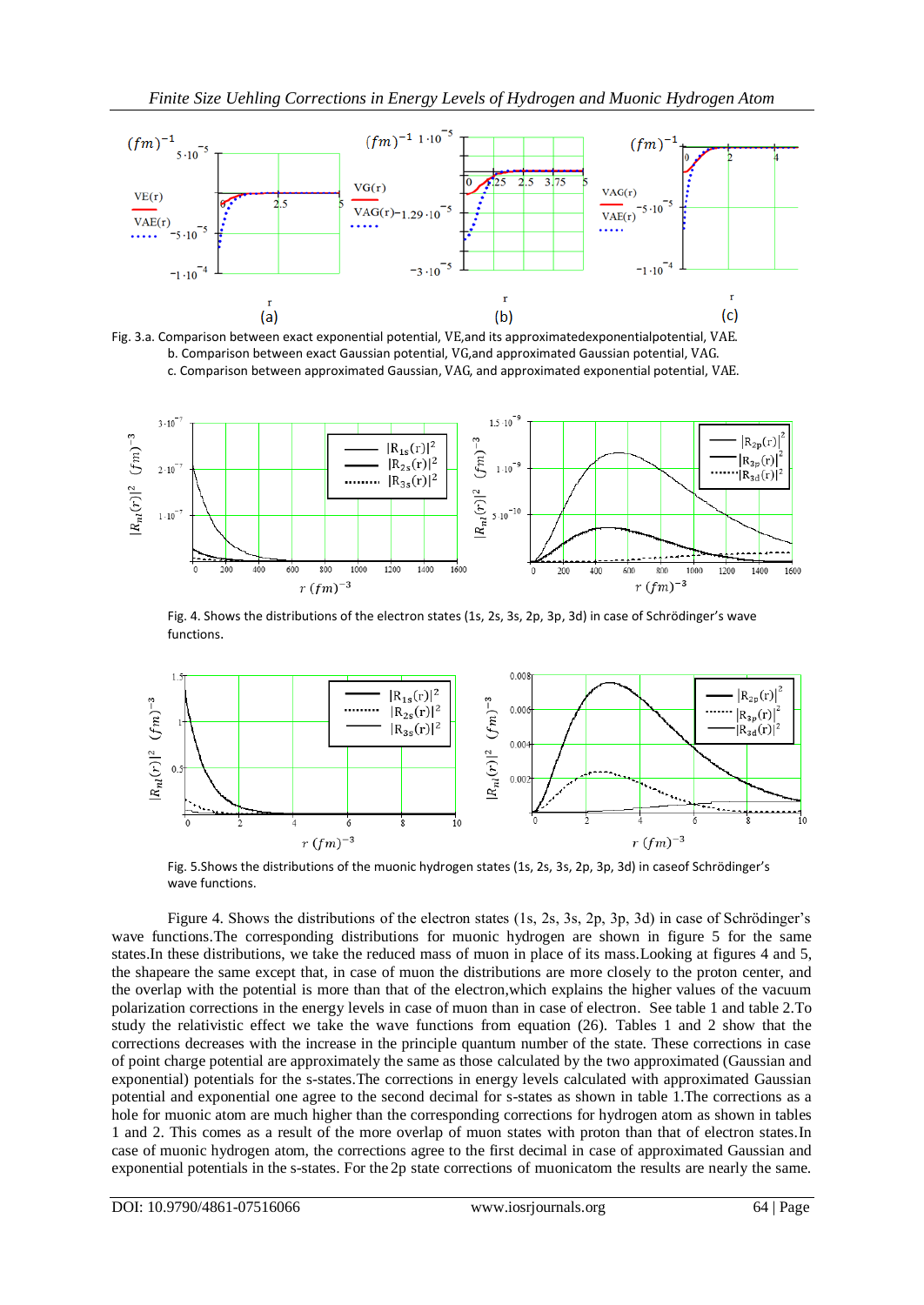





Fig. 4. Shows the distributions of the electron states (1s, 2s, 3s, 2p, 3p, 3d) in case of Schrödinger's wave functions.



Fig. 5.Shows the distributions of the muonic hydrogen states (1s, 2s, 3s, 2p, 3p, 3d) in caseof Schrödinger's wave functions.

Figure 4. Shows the distributions of the electron states (1s, 2s, 3s, 2p, 3p, 3d) in case of Schrödinger's wave functions.The corresponding distributions for muonic hydrogen are shown in figure 5 for the same states.In these distributions, we take the reduced mass of muon in place of its mass.Looking at figures 4 and 5, the shapeare the same except that, in case of muon the distributions are more closely to the proton center, and the overlap with the potential is more than that of the electron,which explains the higher values of the vacuum polarization corrections in the energy levels in case of muon than in case of electron. See table 1 and table 2.To study the relativistic effect we take the wave functions from equation (26). Tables 1 and 2 show that the corrections decreases with the increase in the principle quantum number of the state. These corrections in case of point charge potential are approximately the same as those calculated by the two approximated (Gaussian and exponential) potentials for the s-states.The corrections in energy levels calculated with approximated Gaussian potential and exponential one agree to the second decimal for s-states as shown in table 1.The corrections as a hole for muonic atom are much higher than the corresponding corrections for hydrogen atom as shown in tables 1 and 2. This comes as a result of the more overlap of muon states with proton than that of electron states.In case of muonic hydrogen atom, the corrections agree to the first decimal in case of approximated Gaussian and exponential potentials in the s-states. For the 2p state corrections of muonicatom the results are nearly the same.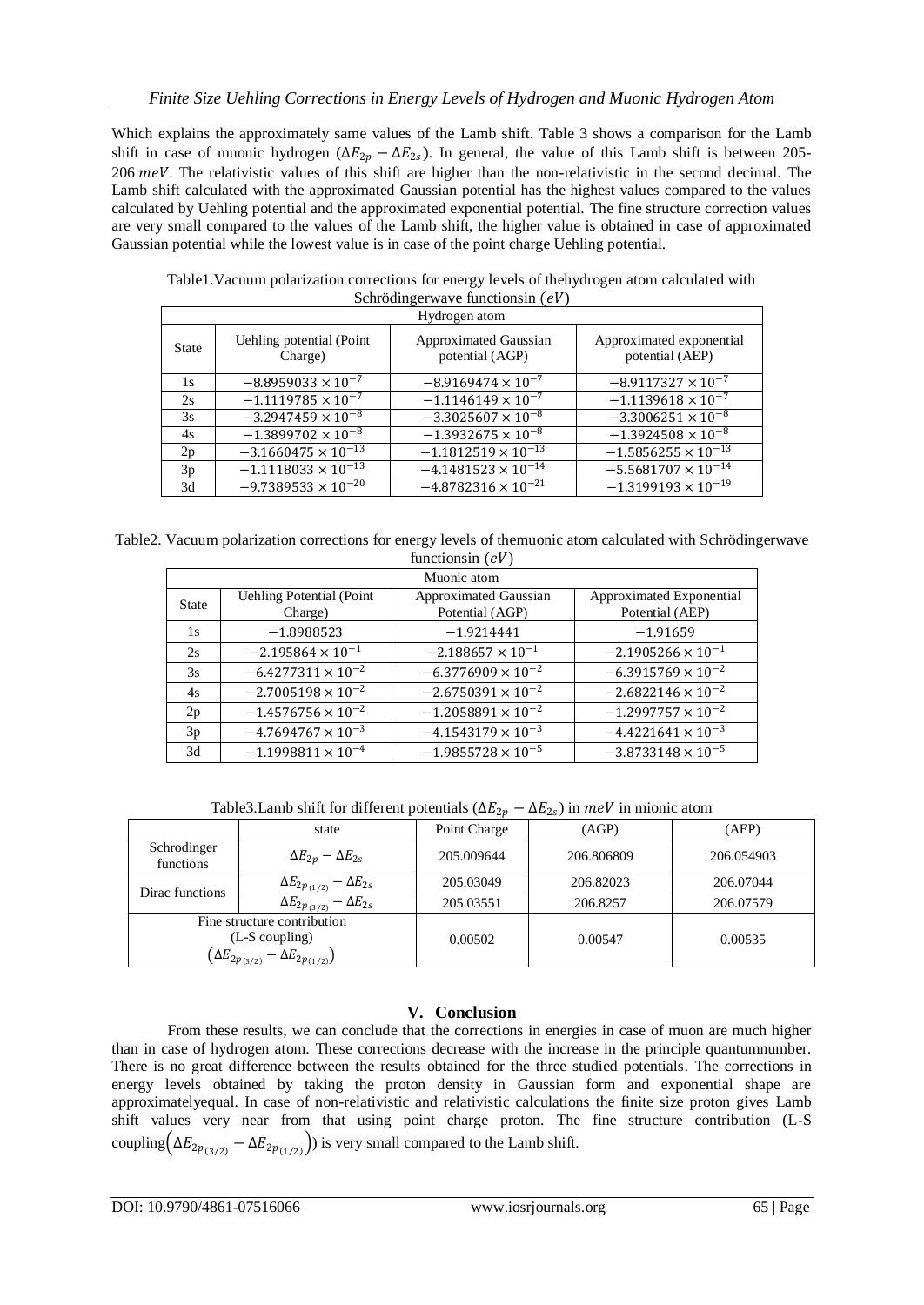Which explains the approximately same values of the Lamb shift. Table 3 shows a comparison for the Lamb shift in case of muonic hydrogen ( $\Delta E_{2p} - \Delta E_{2s}$ ). In general, the value of this Lamb shift is between 205- $206$   $meV$ . The relativistic values of this shift are higher than the non-relativistic in the second decimal. The Lamb shift calculated with the approximated Gaussian potential has the highest values compared to the values calculated by Uehling potential and the approximated exponential potential. The fine structure correction values are very small compared to the values of the Lamb shift, the higher value is obtained in case of approximated Gaussian potential while the lowest value is in case of the point charge Uehling potential.

Table1.Vacuum polarization corrections for energy levels of thehydrogen atom calculated with Schrödingerwave functionsin  $(eV)$ 

| Hydrogen atom |                                     |                                                                                         |                              |  |  |  |  |
|---------------|-------------------------------------|-----------------------------------------------------------------------------------------|------------------------------|--|--|--|--|
| State         | Uehling potential (Point<br>Charge) | Approximated Gaussian<br>Approximated exponential<br>potential (AGP)<br>potential (AEP) |                              |  |  |  |  |
| 1s            | $-8.8959033 \times 10^{-7}$         | $-8.9169474 \times 10^{-7}$                                                             | $-8.9117327 \times 10^{-7}$  |  |  |  |  |
| 2s            | $-1.1119785 \times 10^{-7}$         | $-1.1146149 \times 10^{-7}$                                                             | $-1.1139618 \times 10^{-7}$  |  |  |  |  |
| 3s            | $-3.2947459 \times 10^{-8}$         | $-3.3025607 \times 10^{-8}$                                                             | $-3.3006251 \times 10^{-8}$  |  |  |  |  |
| 4s            | $-1.3899702 \times 10^{-8}$         | $-1.3932675 \times 10^{-8}$                                                             | $-1.3924508 \times 10^{-8}$  |  |  |  |  |
| 2p            | $-3.1660475 \times 10^{-13}$        | $-1.1812519 \times 10^{-13}$                                                            | $-1.5856255 \times 10^{-13}$ |  |  |  |  |
| 3p            | $-1.1118033 \times 10^{-13}$        | $-4.1481523 \times 10^{-14}$                                                            | $-5.5681707 \times 10^{-14}$ |  |  |  |  |
| 3d            | $-9.7389533 \times 10^{-20}$        | $-4.8782316 \times 10^{-21}$                                                            | $-1.3199193 \times 10^{-19}$ |  |  |  |  |

Table2. Vacuum polarization corrections for energy levels of themuonic atom calculated with Schrödingerwave functionsin  $\rho V$ 

| Muonic atom |                                 |                              |                             |  |  |  |  |
|-------------|---------------------------------|------------------------------|-----------------------------|--|--|--|--|
| State       | <b>Uehling Potential (Point</b> | <b>Approximated Gaussian</b> | Approximated Exponential    |  |  |  |  |
|             | Charge)                         | Potential (AGP)              | Potential (AEP)             |  |  |  |  |
| 1s          | $-1.8988523$                    | $-1.9214441$                 | $-1.91659$                  |  |  |  |  |
| 2s          | $-2.195864 \times 10^{-1}$      | $-2.188657 \times 10^{-1}$   | $-2.1905266 \times 10^{-1}$ |  |  |  |  |
| 3s          | $-6.4277311 \times 10^{-2}$     | $-6.3776909 \times 10^{-2}$  | $-6.3915769 \times 10^{-2}$ |  |  |  |  |
| 4s          | $-2.7005198 \times 10^{-2}$     | $-2.6750391 \times 10^{-2}$  | $-2.6822146 \times 10^{-2}$ |  |  |  |  |
| 2p          | $-1.4576756 \times 10^{-2}$     | $-1.2058891 \times 10^{-2}$  | $-1.2997757 \times 10^{-2}$ |  |  |  |  |
| 3p          | $-4.7694767 \times 10^{-3}$     | $-4.1543179 \times 10^{-3}$  | $-4.4221641 \times 10^{-3}$ |  |  |  |  |
| 3d          | $-1.1998811 \times 10^{-4}$     | $-1.9855728 \times 10^{-5}$  | $-3.8733148 \times 10^{-5}$ |  |  |  |  |

Table3.Lamb shift for different potentials ( $\Delta E_{2p} - \Delta E_{2s}$ ) in meV in mionic atom

|                                                            | state                                   | Point Charge | (AGP)      | (AEP)      |
|------------------------------------------------------------|-----------------------------------------|--------------|------------|------------|
| Schrodinger<br>functions                                   | $\Delta E_{2p} - \Delta E_{2s}$         | 205.009644   | 206.806809 | 206.054903 |
| Dirac functions                                            | $\Delta E_{2p_{(1/2)}} - \Delta E_{2s}$ | 205.03049    | 206.82023  | 206.07044  |
|                                                            | $\Delta E_{2p_{(3/2)}} - \Delta E_{2s}$ | 205.03551    | 206.8257   | 206.07579  |
| Fine structure contribution                                |                                         |              |            |            |
|                                                            | $(L-S$ coupling)                        | 0.00502      | 0.00547    | 0.00535    |
| $\left(\Delta E_{2p_{(3/2)}}-\Delta E_{2p_{(1/2)}}\right)$ |                                         |              |            |            |

# **V. Conclusion**

From these results, we can conclude that the corrections in energies in case of muon are much higher than in case of hydrogen atom. These corrections decrease with the increase in the principle quantumnumber. There is no great difference between the results obtained for the three studied potentials. The corrections in energy levels obtained by taking the proton density in Gaussian form and exponential shape are approximatelyequal. In case of non-relativistic and relativistic calculations the finite size proton gives Lamb shift values very near from that using point charge proton. The fine structure contribution (L-S coupling  $(\Delta E_{2p_{(3/2)}} - \Delta E_{2p_{(1/2)}})$  is very small compared to the Lamb shift.